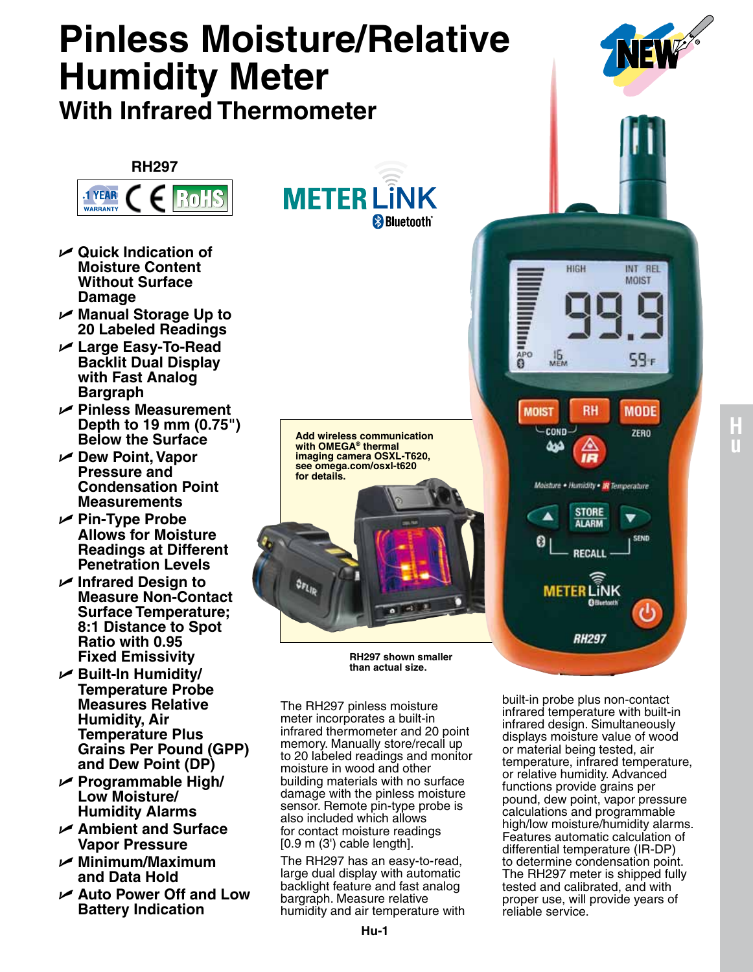## **Pinless Moisture/Relative Humidity Meter With Infrared Thermometer RH297 METER LÎNK RoHS 1 YEAR WARRANTY** <sup>8</sup> Bluetooth<sup>®</sup> U **Quick Indication of Moisture Content**  HIGH INT REL **Without Surface MOIST Damage** U **Manual Storage Up to**  lllini≩∞ **20 Labeled Readings** U **Large Easy-To-Read**   $16$ <br>MEM **Backlit Dual Display**  59ء **with Fast Analog Bargraph** U **Pinless Measurement RH MODE MOIST Depth to 19 mm (0.75") COND** ZERO **Below the Surface Add wireless communication with Omega® thermal**  سه **imaging camera OSXL-T620,**  U **Dew Point, Vapor see omega.com/osxl-t620 Pressure and for details.Condensation Point**  Moisture . Humidity . IN Temperature **Measurements STORE**  $\blacktriangle$ U **Pin-Type Probe AI ARM Allows for Moisture SEND** 0 **Readings at Different RECALI Penetration Levels** U **Infrared Design to METER LINK Measure Non-Contact Surface Temperature; 8:1 Distance to Spot RH297 Ratio with 0.95 Fixed Emissivity RH297 shown smaller than actual size.** U **Built-In Humidity/ Temperature Probe**  built-in probe plus non-contact **Measures Relative**  The RH297 pinless moisture infrared temperature with built-in **Humidity, Air**  meter incorporates a built-in infrared design. Simultaneously infrared thermometer and 20 point **Temperature Plus**  displays moisture value of wood memory. Manually store/recall up **Grains Per Pound (GPP)**  or material being tested, air to 20 labeled readings and monitor temperature, infrared temperature, **and Dew Point (DP)** moisture in wood and other or relative humidity. Advanced U **Programmable High/** building materials with no surface functions provide grains per damage with the pinless moisture **Low Moisture/** pound, dew point, vapor pressure sensor. Remote pin-type probe is **Humidity Alarms** calculations and programmable also included which allows high/low moisture/humidity alarms. U **Ambient and Surface**  for contact moisture readings Features automatic calculation of **Vapor Pressure** [0.9 m (3') cable length].

- U **Minimum/Maximum and Data Hold**
- U **Auto Power Off and Low Battery Indication**

The RH297 has an easy-to-read, large dual display with automatic backlight feature and fast analog bargraph. Measure relative

differential temperature (IR-DP) to determine condensation point. The RH297 meter is shipped fully tested and calibrated, and with proper use, will provide years of reliable service.

**u**

**H**